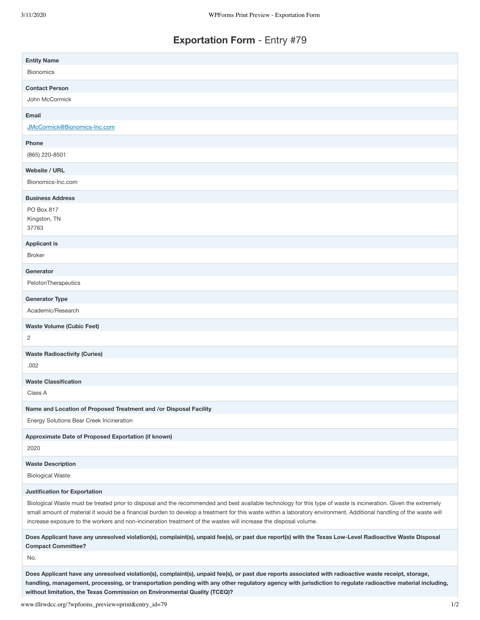## **Exportation Form** - Entry #79

| <b>Entity Name</b>                                                                                                                                                                                                                                                                                                                                                                               |
|--------------------------------------------------------------------------------------------------------------------------------------------------------------------------------------------------------------------------------------------------------------------------------------------------------------------------------------------------------------------------------------------------|
| <b>Bionomics</b>                                                                                                                                                                                                                                                                                                                                                                                 |
| <b>Contact Person</b>                                                                                                                                                                                                                                                                                                                                                                            |
| John McCormick                                                                                                                                                                                                                                                                                                                                                                                   |
| Email                                                                                                                                                                                                                                                                                                                                                                                            |
| JMcCormick@Bionomics-Inc.com                                                                                                                                                                                                                                                                                                                                                                     |
| Phone                                                                                                                                                                                                                                                                                                                                                                                            |
| (865) 220-8501                                                                                                                                                                                                                                                                                                                                                                                   |
| <b>Website / URL</b>                                                                                                                                                                                                                                                                                                                                                                             |
| Bionomics-Inc.com                                                                                                                                                                                                                                                                                                                                                                                |
| <b>Business Address</b>                                                                                                                                                                                                                                                                                                                                                                          |
| PO Box 817                                                                                                                                                                                                                                                                                                                                                                                       |
| Kingston, TN<br>37763                                                                                                                                                                                                                                                                                                                                                                            |
|                                                                                                                                                                                                                                                                                                                                                                                                  |
| <b>Applicant is</b><br><b>Broker</b>                                                                                                                                                                                                                                                                                                                                                             |
|                                                                                                                                                                                                                                                                                                                                                                                                  |
| Generator<br>PelotonTherapeutics                                                                                                                                                                                                                                                                                                                                                                 |
|                                                                                                                                                                                                                                                                                                                                                                                                  |
| <b>Generator Type</b>                                                                                                                                                                                                                                                                                                                                                                            |
| Academic/Research                                                                                                                                                                                                                                                                                                                                                                                |
| <b>Waste Volume (Cubic Feet)</b>                                                                                                                                                                                                                                                                                                                                                                 |
| 2                                                                                                                                                                                                                                                                                                                                                                                                |
| <b>Waste Radioactivity (Curies)</b>                                                                                                                                                                                                                                                                                                                                                              |
| .002                                                                                                                                                                                                                                                                                                                                                                                             |
| <b>Waste Classification</b>                                                                                                                                                                                                                                                                                                                                                                      |
| Class A                                                                                                                                                                                                                                                                                                                                                                                          |
| Name and Location of Proposed Treatment and /or Disposal Facility                                                                                                                                                                                                                                                                                                                                |
| Energy Solutions Bear Creek Incineration                                                                                                                                                                                                                                                                                                                                                         |
| Approximate Date of Proposed Exportation (if known)                                                                                                                                                                                                                                                                                                                                              |
| 2020                                                                                                                                                                                                                                                                                                                                                                                             |
| <b>Waste Description</b>                                                                                                                                                                                                                                                                                                                                                                         |
| <b>Biological Waste</b>                                                                                                                                                                                                                                                                                                                                                                          |
| <b>Justification for Exportation</b>                                                                                                                                                                                                                                                                                                                                                             |
| Biological Waste must be treated prior to disposal and the recommended and best available technology for this type of waste is incineration. Given the extremely<br>small amount of material it would be a financial burden to develop a treatment for this waste within a laboratory environment. Additional handling of the waste will                                                         |
| increase exposure to the workers and non-incineration treatment of the wastes will increase the disposal volume.                                                                                                                                                                                                                                                                                 |
| Does Applicant have any unresolved violation(s), complaint(s), unpaid fee(s), or past due report(s) with the Texas Low-Level Radioactive Waste Disposal<br><b>Compact Committee?</b>                                                                                                                                                                                                             |
| No.                                                                                                                                                                                                                                                                                                                                                                                              |
| Does Applicant have any unresolved violation(s), complaint(s), unpaid fee(s), or past due reports associated with radioactive waste receipt, storage,<br>handling, management, processing, or transportation pending with any other regulatory agency with jurisdiction to regulate radioactive material including,<br>without limitation, the Texas Commission on Environmental Quality (TCEQ)? |